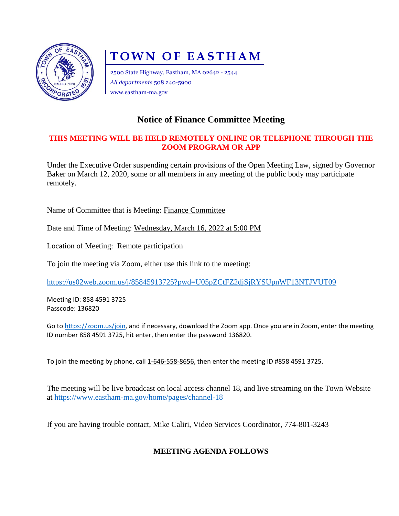

# **TOWN OF EASTHAM**

2500 State Highway, Eastham, MA 02642 - 2544 *All departments* 508 240-5900 www.eastham-ma.gov

## **Notice of Finance Committee Meeting**

#### **THIS MEETING WILL BE HELD REMOTELY ONLINE OR TELEPHONE THROUGH THE ZOOM PROGRAM OR APP**

Under the Executive Order suspending certain provisions of the Open Meeting Law, signed by Governor Baker on March 12, 2020, some or all members in any meeting of the public body may participate remotely.

Name of Committee that is Meeting: Finance Committee

Date and Time of Meeting: Wednesday, March 16, 2022 at 5:00 PM

Location of Meeting: Remote participation

To join the meeting via Zoom, either use this link to the meeting:

<https://us02web.zoom.us/j/85845913725?pwd=U05pZCtFZ2djSjRYSUpnWF13NTJVUT09>

Meeting ID: 858 4591 3725 Passcode: 136820

Go to [https://zoom.us/join,](https://zoom.us/join) and if necessary, download the Zoom app. Once you are in Zoom, enter the meeting ID number 858 4591 3725, hit enter, then enter the password 136820.

To join the meeting by phone, call 1-646-558-8656, then enter the meeting ID #858 4591 3725.

The meeting will be live broadcast on local access channel 18, and live streaming on the Town Website at<https://www.eastham-ma.gov/home/pages/channel-18>

If you are having trouble contact, Mike Caliri, Video Services Coordinator, 774-801-3243

### **MEETING AGENDA FOLLOWS**